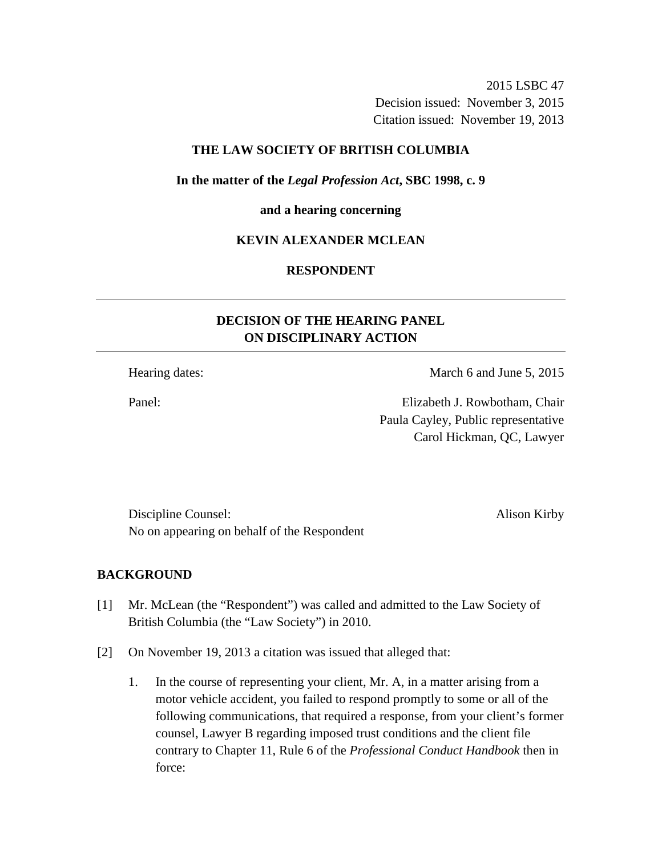2015 LSBC 47 Decision issued: November 3, 2015 Citation issued: November 19, 2013

### **THE LAW SOCIETY OF BRITISH COLUMBIA**

**In the matter of the** *Legal Profession Act***, SBC 1998, c. 9** 

#### **and a hearing concerning**

### **KEVIN ALEXANDER MCLEAN**

### **RESPONDENT**

## **DECISION OF THE HEARING PANEL ON DISCIPLINARY ACTION**

Hearing dates: March 6 and June 5, 2015

Panel: Elizabeth J. Rowbotham, Chair Paula Cayley, Public representative Carol Hickman, QC, Lawyer

Discipline Counsel: Alison Kirby No on appearing on behalf of the Respondent

### **BACKGROUND**

- [1] Mr. McLean (the "Respondent") was called and admitted to the Law Society of British Columbia (the "Law Society") in 2010.
- [2] On November 19, 2013 a citation was issued that alleged that:
	- 1. In the course of representing your client, Mr. A, in a matter arising from a motor vehicle accident, you failed to respond promptly to some or all of the following communications, that required a response, from your client's former counsel, Lawyer B regarding imposed trust conditions and the client file contrary to Chapter 11, Rule 6 of the *Professional Conduct Handbook* then in force: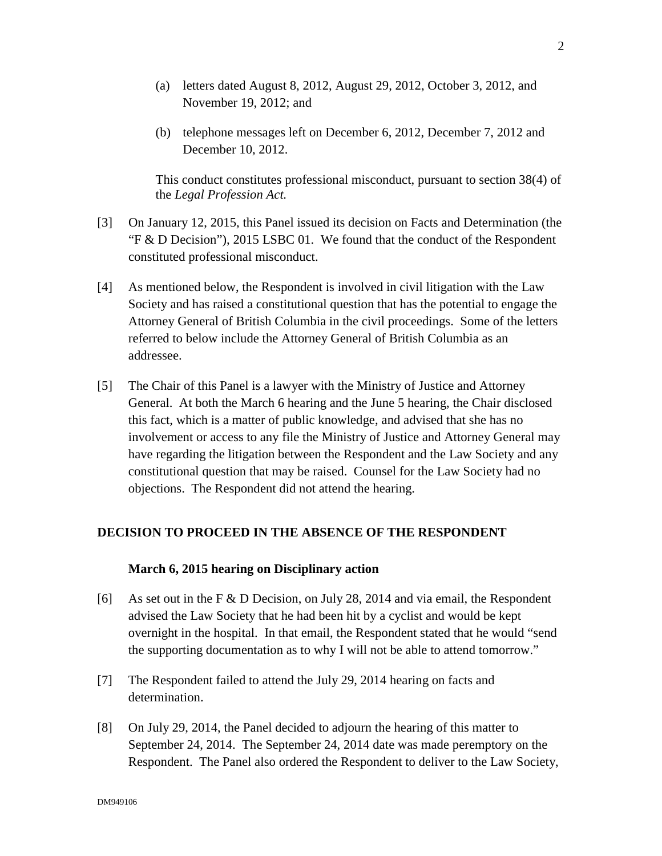- (a) letters dated August 8, 2012, August 29, 2012, October 3, 2012, and November 19, 2012; and
- (b) telephone messages left on December 6, 2012, December 7, 2012 and December 10, 2012.

This conduct constitutes professional misconduct, pursuant to section 38(4) of the *Legal Profession Act.*

- [3] On January 12, 2015, this Panel issued its decision on Facts and Determination (the "F & D Decision"), 2015 LSBC 01. We found that the conduct of the Respondent constituted professional misconduct.
- [4] As mentioned below, the Respondent is involved in civil litigation with the Law Society and has raised a constitutional question that has the potential to engage the Attorney General of British Columbia in the civil proceedings. Some of the letters referred to below include the Attorney General of British Columbia as an addressee.
- [5] The Chair of this Panel is a lawyer with the Ministry of Justice and Attorney General. At both the March 6 hearing and the June 5 hearing, the Chair disclosed this fact, which is a matter of public knowledge, and advised that she has no involvement or access to any file the Ministry of Justice and Attorney General may have regarding the litigation between the Respondent and the Law Society and any constitutional question that may be raised. Counsel for the Law Society had no objections. The Respondent did not attend the hearing.

### **DECISION TO PROCEED IN THE ABSENCE OF THE RESPONDENT**

#### **March 6, 2015 hearing on Disciplinary action**

- [6] As set out in the F  $\&$  D Decision, on July 28, 2014 and via email, the Respondent advised the Law Society that he had been hit by a cyclist and would be kept overnight in the hospital. In that email, the Respondent stated that he would "send the supporting documentation as to why I will not be able to attend tomorrow."
- [7] The Respondent failed to attend the July 29, 2014 hearing on facts and determination.
- [8] On July 29, 2014, the Panel decided to adjourn the hearing of this matter to September 24, 2014. The September 24, 2014 date was made peremptory on the Respondent. The Panel also ordered the Respondent to deliver to the Law Society,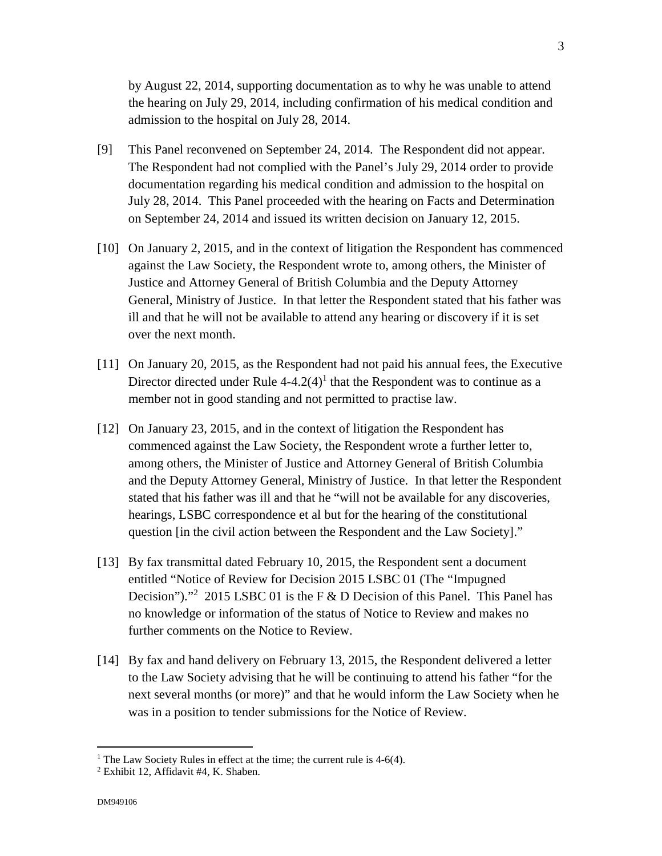by August 22, 2014, supporting documentation as to why he was unable to attend the hearing on July 29, 2014, including confirmation of his medical condition and admission to the hospital on July 28, 2014.

- [9] This Panel reconvened on September 24, 2014. The Respondent did not appear. The Respondent had not complied with the Panel's July 29, 2014 order to provide documentation regarding his medical condition and admission to the hospital on July 28, 2014. This Panel proceeded with the hearing on Facts and Determination on September 24, 2014 and issued its written decision on January 12, 2015.
- [10] On January 2, 2015, and in the context of litigation the Respondent has commenced against the Law Society, the Respondent wrote to, among others, the Minister of Justice and Attorney General of British Columbia and the Deputy Attorney General, Ministry of Justice. In that letter the Respondent stated that his father was ill and that he will not be available to attend any hearing or discovery if it is set over the next month.
- [11] On January 20, 2015, as the Respondent had not paid his annual fees, the Executive Director directed under Rule  $4-4.2(4)$ <sup>1</sup> that the Respondent was to continue as a member not in good standing and not permitted to practise law.
- [12] On January 23, 2015, and in the context of litigation the Respondent has commenced against the Law Society, the Respondent wrote a further letter to, among others, the Minister of Justice and Attorney General of British Columbia and the Deputy Attorney General, Ministry of Justice. In that letter the Respondent stated that his father was ill and that he "will not be available for any discoveries, hearings, LSBC correspondence et al but for the hearing of the constitutional question [in the civil action between the Respondent and the Law Society]."
- [13] By fax transmittal dated February 10, 2015, the Respondent sent a document entitled "Notice of Review for Decision 2015 LSBC 01 (The "Impugned Decision")."<sup>2</sup> 2015 LSBC 01 is the F & D Decision of this Panel. This Panel has no knowledge or information of the status of Notice to Review and makes no further comments on the Notice to Review.
- [14] By fax and hand delivery on February 13, 2015, the Respondent delivered a letter to the Law Society advising that he will be continuing to attend his father "for the next several months (or more)" and that he would inform the Law Society when he was in a position to tender submissions for the Notice of Review.

<sup>&</sup>lt;sup>1</sup> The Law Society Rules in effect at the time; the current rule is 4-6(4).

<sup>2</sup> Exhibit 12, Affidavit #4, K. Shaben.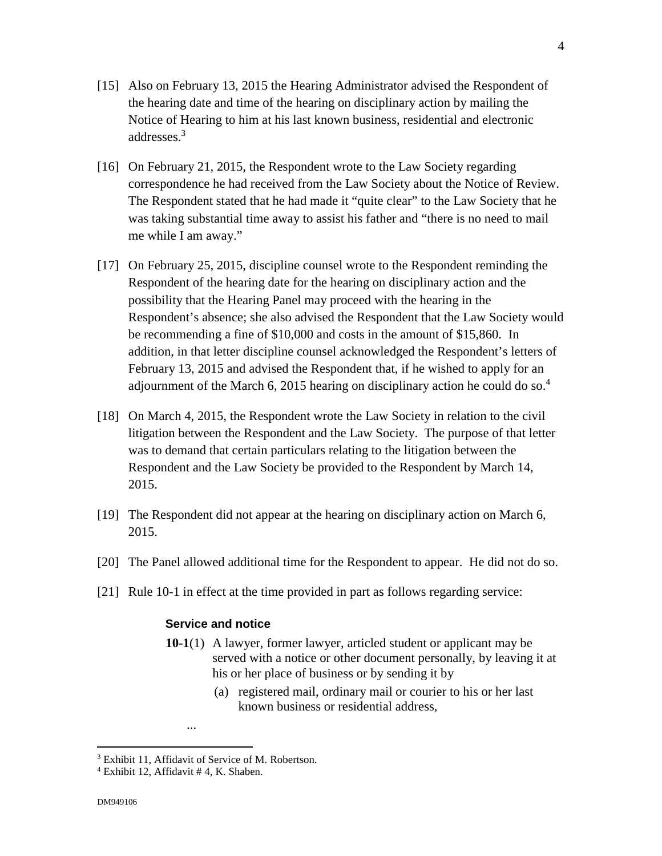- [15] Also on February 13, 2015 the Hearing Administrator advised the Respondent of the hearing date and time of the hearing on disciplinary action by mailing the Notice of Hearing to him at his last known business, residential and electronic addresses.<sup>3</sup>
- [16] On February 21, 2015, the Respondent wrote to the Law Society regarding correspondence he had received from the Law Society about the Notice of Review. The Respondent stated that he had made it "quite clear" to the Law Society that he was taking substantial time away to assist his father and "there is no need to mail me while I am away."
- [17] On February 25, 2015, discipline counsel wrote to the Respondent reminding the Respondent of the hearing date for the hearing on disciplinary action and the possibility that the Hearing Panel may proceed with the hearing in the Respondent's absence; she also advised the Respondent that the Law Society would be recommending a fine of \$10,000 and costs in the amount of \$15,860. In addition, in that letter discipline counsel acknowledged the Respondent's letters of February 13, 2015 and advised the Respondent that, if he wished to apply for an adjournment of the March 6, 2015 hearing on disciplinary action he could do so.<sup>4</sup>
- [18] On March 4, 2015, the Respondent wrote the Law Society in relation to the civil litigation between the Respondent and the Law Society. The purpose of that letter was to demand that certain particulars relating to the litigation between the Respondent and the Law Society be provided to the Respondent by March 14, 2015.
- [19] The Respondent did not appear at the hearing on disciplinary action on March 6, 2015.
- [20] The Panel allowed additional time for the Respondent to appear. He did not do so.
- [21] Rule 10-1 in effect at the time provided in part as follows regarding service:

### **Service and notice**

- **10-1**(1) A lawyer, former lawyer, articled student or applicant may be served with a notice or other document personally, by leaving it at his or her place of business or by sending it by
	- (a) registered mail, ordinary mail or courier to his or her last known business or residential address,

...

<sup>&</sup>lt;sup>3</sup> Exhibit 11, Affidavit of Service of M. Robertson.

<sup>4</sup> Exhibit 12, Affidavit # 4, K. Shaben.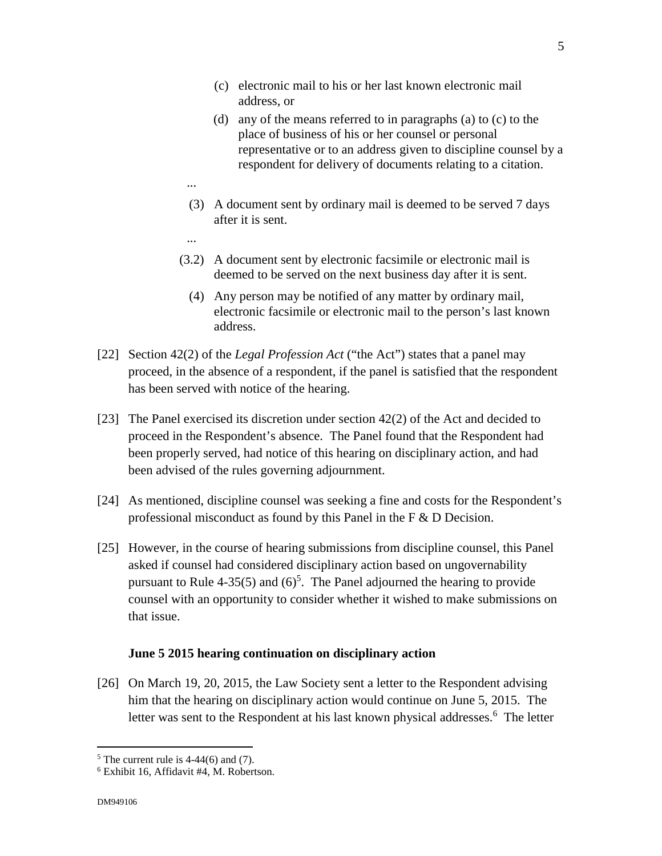- (c) electronic mail to his or her last known electronic mail address, or
- (d) any of the means referred to in paragraphs (a) to (c) to the place of business of his or her counsel or personal representative or to an address given to discipline counsel by a respondent for delivery of documents relating to a citation.
- (3) A document sent by ordinary mail is deemed to be served 7 days after it is sent.
- ...

...

- (3.2) A document sent by electronic facsimile or electronic mail is deemed to be served on the next business day after it is sent.
	- (4) Any person may be notified of any matter by ordinary mail, electronic facsimile or electronic mail to the person's last known address.
- [22] Section 42(2) of the *Legal Profession Act* ("the Act") states that a panel may proceed, in the absence of a respondent, if the panel is satisfied that the respondent has been served with notice of the hearing.
- [23] The Panel exercised its discretion under section 42(2) of the Act and decided to proceed in the Respondent's absence. The Panel found that the Respondent had been properly served, had notice of this hearing on disciplinary action, and had been advised of the rules governing adjournment.
- [24] As mentioned, discipline counsel was seeking a fine and costs for the Respondent's professional misconduct as found by this Panel in the F & D Decision.
- [25] However, in the course of hearing submissions from discipline counsel, this Panel asked if counsel had considered disciplinary action based on ungovernability pursuant to Rule 4-35(5) and  $(6)^5$ . The Panel adjourned the hearing to provide counsel with an opportunity to consider whether it wished to make submissions on that issue.

### **June 5 2015 hearing continuation on disciplinary action**

[26] On March 19, 20, 2015, the Law Society sent a letter to the Respondent advising him that the hearing on disciplinary action would continue on June 5, 2015. The letter was sent to the Respondent at his last known physical addresses.<sup>6</sup> The letter

 $<sup>5</sup>$  The current rule is 4-44(6) and (7).</sup>

<sup>6</sup> Exhibit 16, Affidavit #4, M. Robertson.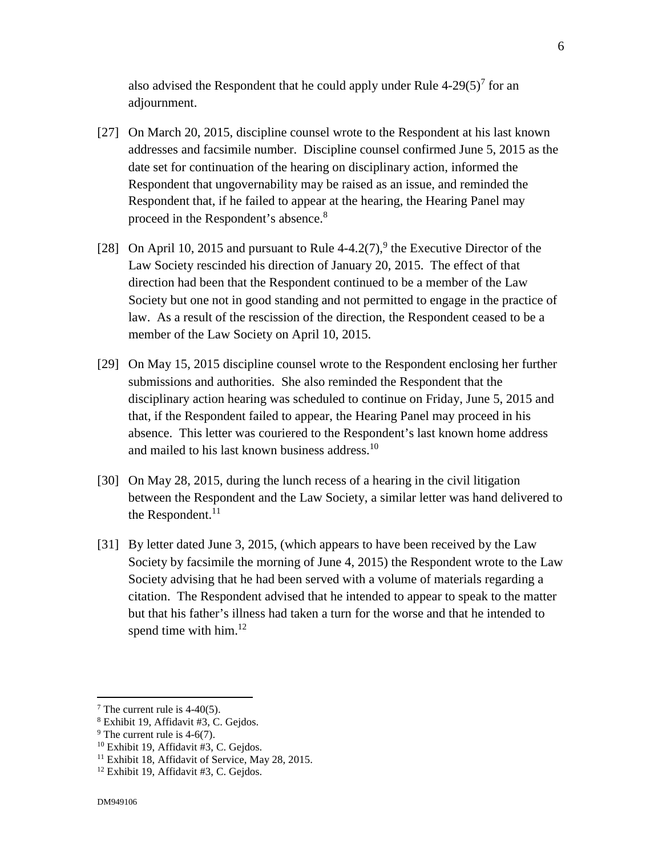also advised the Respondent that he could apply under Rule  $4-29(5)^7$  for an adjournment.

- [27] On March 20, 2015, discipline counsel wrote to the Respondent at his last known addresses and facsimile number. Discipline counsel confirmed June 5, 2015 as the date set for continuation of the hearing on disciplinary action, informed the Respondent that ungovernability may be raised as an issue, and reminded the Respondent that, if he failed to appear at the hearing, the Hearing Panel may proceed in the Respondent's absence.<sup>8</sup>
- [28] On April 10, 2015 and pursuant to Rule  $4-4.2(7)$ ,<sup>9</sup> the Executive Director of the Law Society rescinded his direction of January 20, 2015. The effect of that direction had been that the Respondent continued to be a member of the Law Society but one not in good standing and not permitted to engage in the practice of law. As a result of the rescission of the direction, the Respondent ceased to be a member of the Law Society on April 10, 2015.
- [29] On May 15, 2015 discipline counsel wrote to the Respondent enclosing her further submissions and authorities. She also reminded the Respondent that the disciplinary action hearing was scheduled to continue on Friday, June 5, 2015 and that, if the Respondent failed to appear, the Hearing Panel may proceed in his absence. This letter was couriered to the Respondent's last known home address and mailed to his last known business address.10
- [30] On May 28, 2015, during the lunch recess of a hearing in the civil litigation between the Respondent and the Law Society, a similar letter was hand delivered to the Respondent. $^{11}$
- [31] By letter dated June 3, 2015, (which appears to have been received by the Law Society by facsimile the morning of June 4, 2015) the Respondent wrote to the Law Society advising that he had been served with a volume of materials regarding a citation. The Respondent advised that he intended to appear to speak to the matter but that his father's illness had taken a turn for the worse and that he intended to spend time with  $him.<sup>12</sup>$

 $\overline{a}$ 

<sup>&</sup>lt;sup>7</sup> The current rule is  $4-40(5)$ .

<sup>8</sup> Exhibit 19, Affidavit #3, C. Gejdos.

<sup>&</sup>lt;sup>9</sup> The current rule is  $4-6(7)$ .

<sup>&</sup>lt;sup>10</sup> Exhibit 19, Affidavit #3, C. Gejdos.

<sup>&</sup>lt;sup>11</sup> Exhibit 18, Affidavit of Service, May 28, 2015.

<sup>12</sup> Exhibit 19, Affidavit #3, C. Gejdos.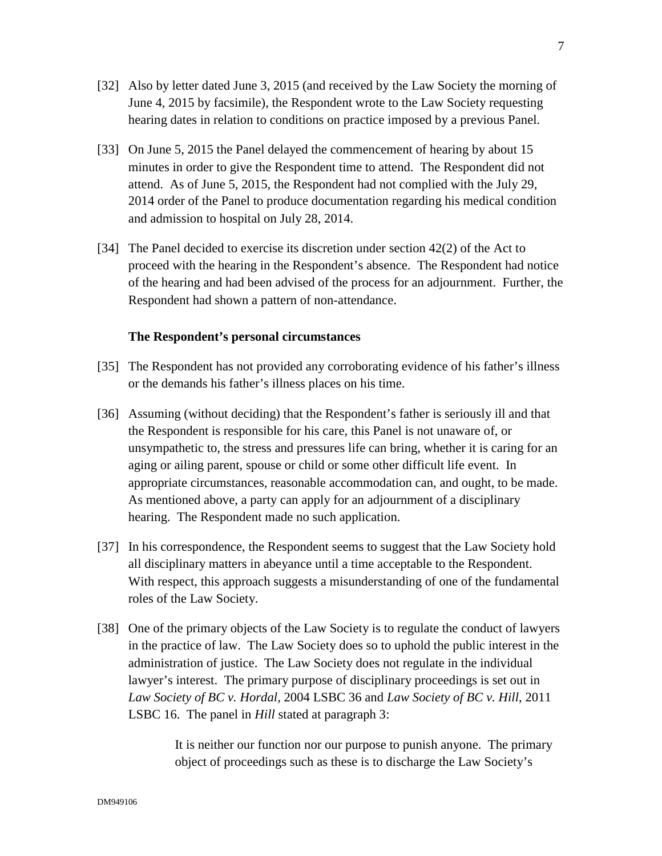- [32] Also by letter dated June 3, 2015 (and received by the Law Society the morning of June 4, 2015 by facsimile), the Respondent wrote to the Law Society requesting hearing dates in relation to conditions on practice imposed by a previous Panel.
- [33] On June 5, 2015 the Panel delayed the commencement of hearing by about 15 minutes in order to give the Respondent time to attend. The Respondent did not attend. As of June 5, 2015, the Respondent had not complied with the July 29, 2014 order of the Panel to produce documentation regarding his medical condition and admission to hospital on July 28, 2014.
- [34] The Panel decided to exercise its discretion under section 42(2) of the Act to proceed with the hearing in the Respondent's absence. The Respondent had notice of the hearing and had been advised of the process for an adjournment. Further, the Respondent had shown a pattern of non-attendance.

#### **The Respondent's personal circumstances**

- [35] The Respondent has not provided any corroborating evidence of his father's illness or the demands his father's illness places on his time.
- [36] Assuming (without deciding) that the Respondent's father is seriously ill and that the Respondent is responsible for his care, this Panel is not unaware of, or unsympathetic to, the stress and pressures life can bring, whether it is caring for an aging or ailing parent, spouse or child or some other difficult life event. In appropriate circumstances, reasonable accommodation can, and ought, to be made. As mentioned above, a party can apply for an adjournment of a disciplinary hearing. The Respondent made no such application.
- [37] In his correspondence, the Respondent seems to suggest that the Law Society hold all disciplinary matters in abeyance until a time acceptable to the Respondent. With respect, this approach suggests a misunderstanding of one of the fundamental roles of the Law Society.
- [38] One of the primary objects of the Law Society is to regulate the conduct of lawyers in the practice of law. The Law Society does so to uphold the public interest in the administration of justice. The Law Society does not regulate in the individual lawyer's interest. The primary purpose of disciplinary proceedings is set out in *Law Society of BC v. Hordal,* 2004 LSBC 36 and *Law Society of BC v. Hill*, 2011 LSBC 16. The panel in *Hill* stated at paragraph 3:

It is neither our function nor our purpose to punish anyone. The primary object of proceedings such as these is to discharge the Law Society's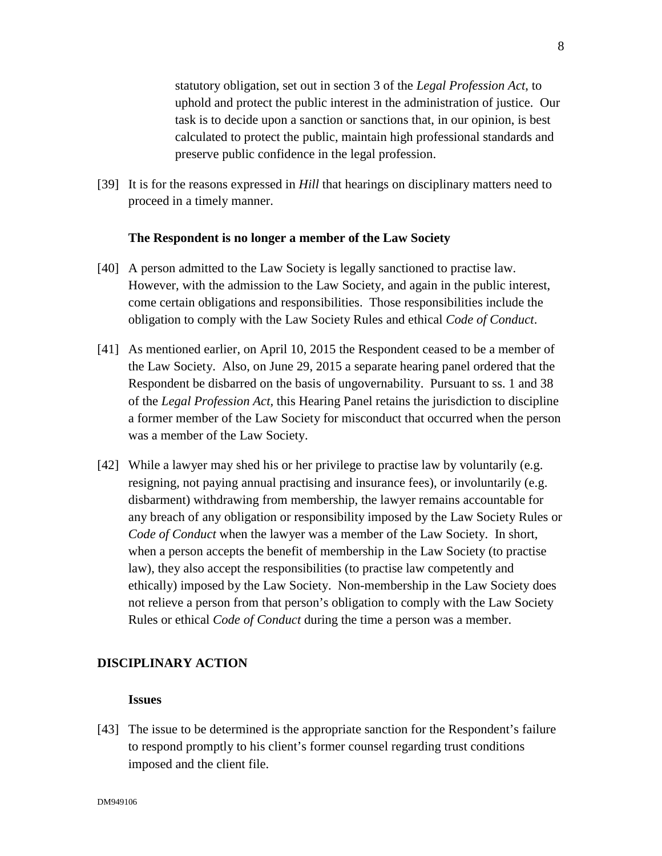statutory obligation, set out in section 3 of the *Legal Profession Act*, to uphold and protect the public interest in the administration of justice. Our task is to decide upon a sanction or sanctions that, in our opinion, is best calculated to protect the public, maintain high professional standards and preserve public confidence in the legal profession.

[39] It is for the reasons expressed in *Hill* that hearings on disciplinary matters need to proceed in a timely manner.

### **The Respondent is no longer a member of the Law Society**

- [40] A person admitted to the Law Society is legally sanctioned to practise law. However, with the admission to the Law Society, and again in the public interest, come certain obligations and responsibilities. Those responsibilities include the obligation to comply with the Law Society Rules and ethical *Code of Conduct*.
- [41] As mentioned earlier, on April 10, 2015 the Respondent ceased to be a member of the Law Society. Also, on June 29, 2015 a separate hearing panel ordered that the Respondent be disbarred on the basis of ungovernability. Pursuant to ss. 1 and 38 of the *Legal Profession Act,* this Hearing Panel retains the jurisdiction to discipline a former member of the Law Society for misconduct that occurred when the person was a member of the Law Society.
- [42] While a lawyer may shed his or her privilege to practise law by voluntarily (e.g. resigning, not paying annual practising and insurance fees), or involuntarily (e.g. disbarment) withdrawing from membership, the lawyer remains accountable for any breach of any obligation or responsibility imposed by the Law Society Rules or *Code of Conduct* when the lawyer was a member of the Law Society. In short, when a person accepts the benefit of membership in the Law Society (to practise law), they also accept the responsibilities (to practise law competently and ethically) imposed by the Law Society. Non-membership in the Law Society does not relieve a person from that person's obligation to comply with the Law Society Rules or ethical *Code of Conduct* during the time a person was a member.

#### **DISCIPLINARY ACTION**

#### **Issues**

[43] The issue to be determined is the appropriate sanction for the Respondent's failure to respond promptly to his client's former counsel regarding trust conditions imposed and the client file.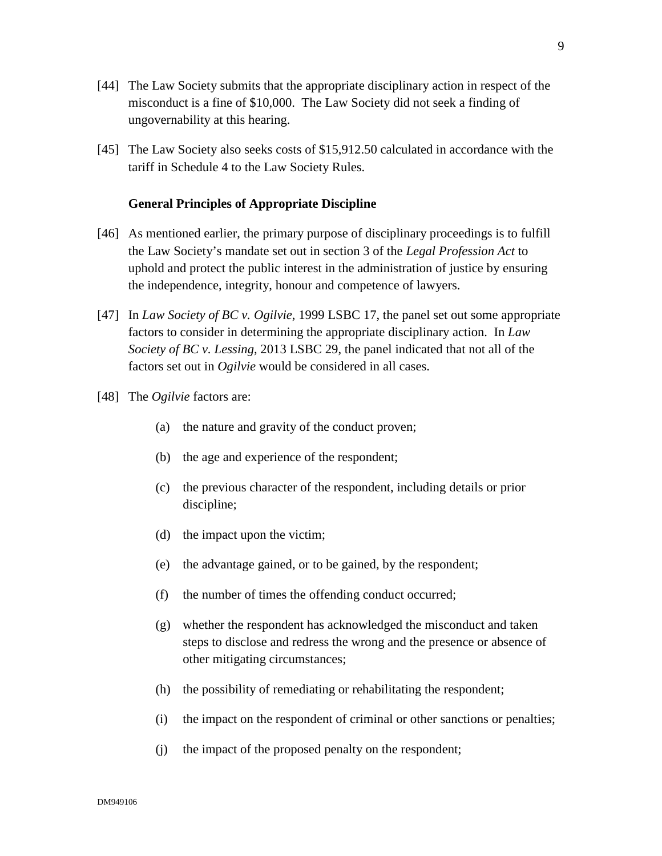- [44] The Law Society submits that the appropriate disciplinary action in respect of the misconduct is a fine of \$10,000. The Law Society did not seek a finding of ungovernability at this hearing.
- [45] The Law Society also seeks costs of \$15,912.50 calculated in accordance with the tariff in Schedule 4 to the Law Society Rules.

### **General Principles of Appropriate Discipline**

- [46] As mentioned earlier, the primary purpose of disciplinary proceedings is to fulfill the Law Society's mandate set out in section 3 of the *Legal Profession Act* to uphold and protect the public interest in the administration of justice by ensuring the independence, integrity, honour and competence of lawyers.
- [47] In *Law Society of BC v. Ogilvie*, 1999 LSBC 17, the panel set out some appropriate factors to consider in determining the appropriate disciplinary action. In *Law Society of BC v. Lessing*, 2013 LSBC 29, the panel indicated that not all of the factors set out in *Ogilvie* would be considered in all cases.
- [48] The *Ogilvie* factors are:
	- (a) the nature and gravity of the conduct proven;
	- (b) the age and experience of the respondent;
	- (c) the previous character of the respondent, including details or prior discipline;
	- (d) the impact upon the victim;
	- (e) the advantage gained, or to be gained, by the respondent;
	- (f) the number of times the offending conduct occurred;
	- (g) whether the respondent has acknowledged the misconduct and taken steps to disclose and redress the wrong and the presence or absence of other mitigating circumstances;
	- (h) the possibility of remediating or rehabilitating the respondent;
	- (i) the impact on the respondent of criminal or other sanctions or penalties;
	- (j) the impact of the proposed penalty on the respondent;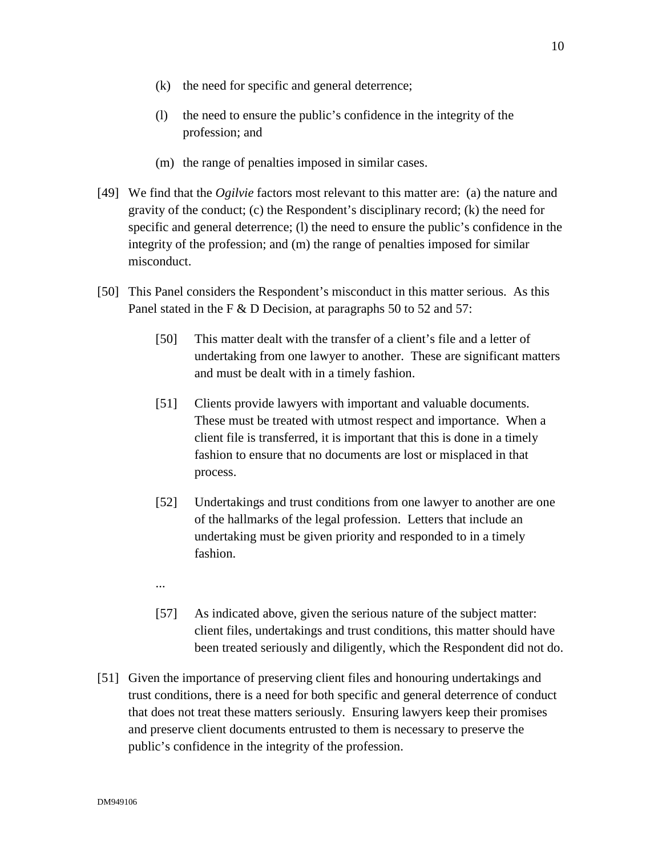- (k) the need for specific and general deterrence;
- (l) the need to ensure the public's confidence in the integrity of the profession; and
- (m) the range of penalties imposed in similar cases.
- [49] We find that the *Ogilvie* factors most relevant to this matter are: (a) the nature and gravity of the conduct; (c) the Respondent's disciplinary record; (k) the need for specific and general deterrence; (l) the need to ensure the public's confidence in the integrity of the profession; and (m) the range of penalties imposed for similar misconduct.
- [50] This Panel considers the Respondent's misconduct in this matter serious. As this Panel stated in the F & D Decision, at paragraphs 50 to 52 and 57:
	- [50] This matter dealt with the transfer of a client's file and a letter of undertaking from one lawyer to another. These are significant matters and must be dealt with in a timely fashion.
	- [51] Clients provide lawyers with important and valuable documents. These must be treated with utmost respect and importance. When a client file is transferred, it is important that this is done in a timely fashion to ensure that no documents are lost or misplaced in that process.
	- [52] Undertakings and trust conditions from one lawyer to another are one of the hallmarks of the legal profession. Letters that include an undertaking must be given priority and responded to in a timely fashion.
	- [57] As indicated above, given the serious nature of the subject matter: client files, undertakings and trust conditions, this matter should have been treated seriously and diligently, which the Respondent did not do.
- [51] Given the importance of preserving client files and honouring undertakings and trust conditions, there is a need for both specific and general deterrence of conduct that does not treat these matters seriously. Ensuring lawyers keep their promises and preserve client documents entrusted to them is necessary to preserve the public's confidence in the integrity of the profession.

...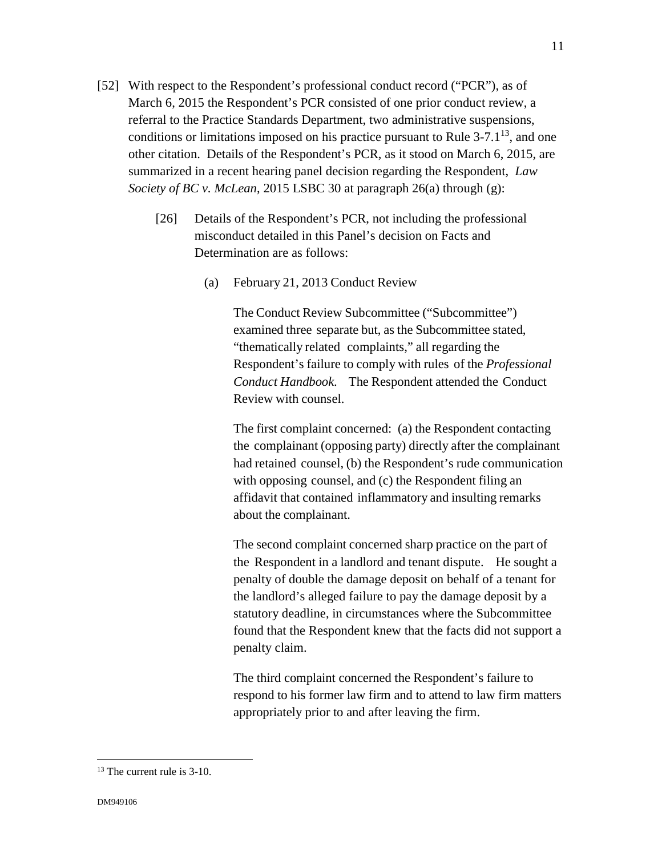- [52] With respect to the Respondent's professional conduct record ("PCR"), as of March 6, 2015 the Respondent's PCR consisted of one prior conduct review, a referral to the Practice Standards Department, two administrative suspensions, conditions or limitations imposed on his practice pursuant to Rule  $3-7.1^{13}$ , and one other citation. Details of the Respondent's PCR, as it stood on March 6, 2015, are summarized in a recent hearing panel decision regarding the Respondent, *Law Society of BC v. McLean*, 2015 LSBC 30 at paragraph 26(a) through (g):
	- [26] Details of the Respondent's PCR, not including the professional misconduct detailed in this Panel's decision on Facts and Determination are as follows:
		- (a) February 21, 2013 Conduct Review

The Conduct Review Subcommittee ("Subcommittee") examined three separate but, as the Subcommittee stated, "thematically related complaints," all regarding the Respondent's failure to comply with rules of the *Professional Conduct Handbook*. The Respondent attended the Conduct Review with counsel.

The first complaint concerned: (a) the Respondent contacting the complainant (opposing party) directly after the complainant had retained counsel, (b) the Respondent's rude communication with opposing counsel, and (c) the Respondent filing an affidavit that contained inflammatory and insulting remarks about the complainant.

The second complaint concerned sharp practice on the part of the Respondent in a landlord and tenant dispute. He sought a penalty of double the damage deposit on behalf of a tenant for the landlord's alleged failure to pay the damage deposit by a statutory deadline, in circumstances where the Subcommittee found that the Respondent knew that the facts did not support a penalty claim.

The third complaint concerned the Respondent's failure to respond to his former law firm and to attend to law firm matters appropriately prior to and after leaving the firm.

 $\overline{a}$ 

<sup>&</sup>lt;sup>13</sup> The current rule is 3-10.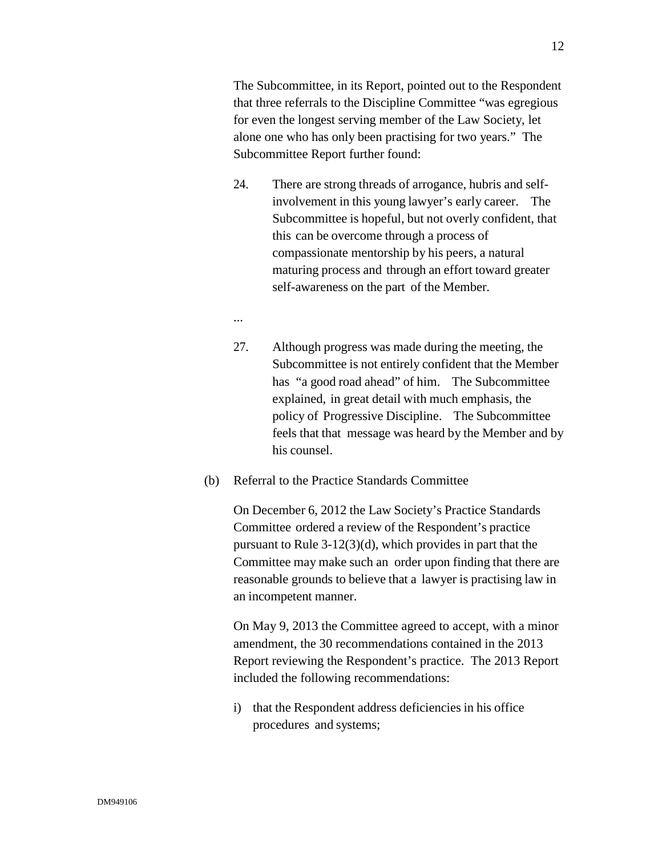The Subcommittee, in its Report, pointed out to the Respondent that three referrals to the Discipline Committee "was egregious for even the longest serving member of the Law Society, let alone one who has only been practising for two years." The Subcommittee Report further found:

- 24. There are strong threads of arrogance, hubris and selfinvolvement in this young lawyer's early career. The Subcommittee is hopeful, but not overly confident, that this can be overcome through a process of compassionate mentorship by his peers, a natural maturing process and through an effort toward greater self-awareness on the part of the Member.
- ...
- 27. Although progress was made during the meeting, the Subcommittee is not entirely confident that the Member has "a good road ahead" of him. The Subcommittee explained, in great detail with much emphasis, the policy of Progressive Discipline. The Subcommittee feels that that message was heard by the Member and by his counsel.
- (b) Referral to the Practice Standards Committee

On December 6, 2012 the Law Society's Practice Standards Committee ordered a review of the Respondent's practice pursuant to Rule 3-12(3)(d), which provides in part that the Committee may make such an order upon finding that there are reasonable grounds to believe that a lawyer is practising law in an incompetent manner.

On May 9, 2013 the Committee agreed to accept, with a minor amendment, the 30 recommendations contained in the 2013 Report reviewing the Respondent's practice. The 2013 Report included the following recommendations:

i) that the Respondent address deficiencies in his office procedures and systems;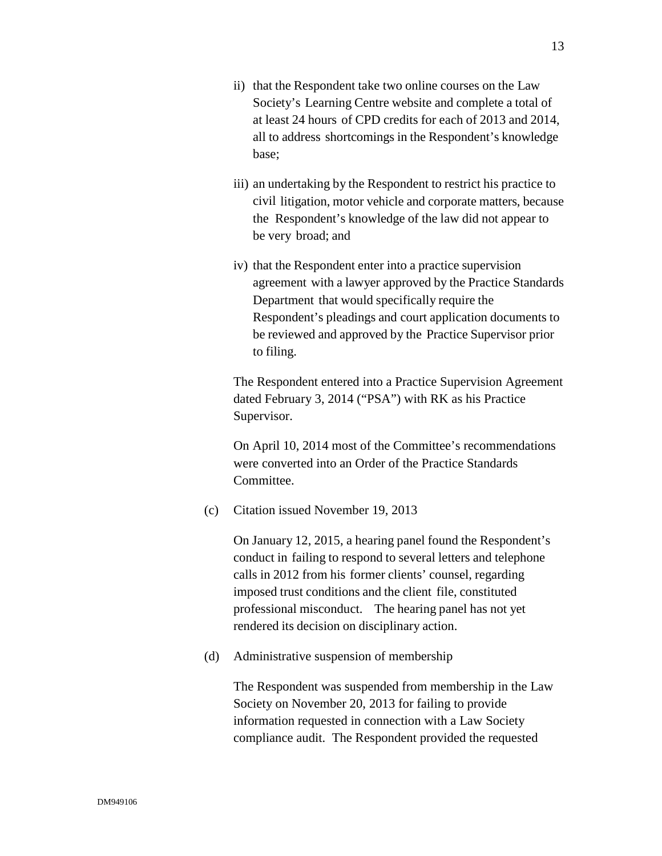- ii) that the Respondent take two online courses on the Law Society's Learning Centre website and complete a total of at least 24 hours of CPD credits for each of 2013 and 2014, all to address shortcomings in the Respondent's knowledge base;
- iii) an undertaking by the Respondent to restrict his practice to civil litigation, motor vehicle and corporate matters, because the Respondent's knowledge of the law did not appear to be very broad; and
- iv) that the Respondent enter into a practice supervision agreement with a lawyer approved by the Practice Standards Department that would specifically require the Respondent's pleadings and court application documents to be reviewed and approved by the Practice Supervisor prior to filing.

The Respondent entered into a Practice Supervision Agreement dated February 3, 2014 ("PSA") with RK as his Practice Supervisor.

On April 10, 2014 most of the Committee's recommendations were converted into an Order of the Practice Standards Committee.

(c) Citation issued November 19, 2013

On January 12, 2015, a hearing panel found the Respondent's conduct in failing to respond to several letters and telephone calls in 2012 from his former clients' counsel, regarding imposed trust conditions and the client file, constituted professional misconduct. The hearing panel has not yet rendered its decision on disciplinary action.

(d) Administrative suspension of membership

The Respondent was suspended from membership in the Law Society on November 20, 2013 for failing to provide information requested in connection with a Law Society compliance audit. The Respondent provided the requested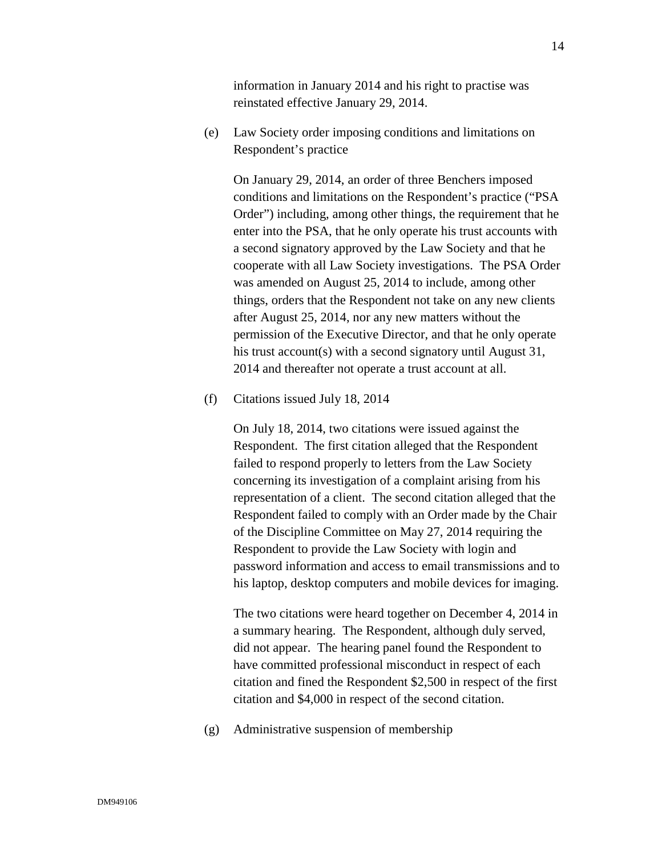information in January 2014 and his right to practise was reinstated effective January 29, 2014.

(e) Law Society order imposing conditions and limitations on Respondent's practice

On January 29, 2014, an order of three Benchers imposed conditions and limitations on the Respondent's practice ("PSA Order") including, among other things, the requirement that he enter into the PSA, that he only operate his trust accounts with a second signatory approved by the Law Society and that he cooperate with all Law Society investigations. The PSA Order was amended on August 25, 2014 to include, among other things, orders that the Respondent not take on any new clients after August 25, 2014, nor any new matters without the permission of the Executive Director, and that he only operate his trust account(s) with a second signatory until August 31, 2014 and thereafter not operate a trust account at all.

(f) Citations issued July 18, 2014

On July 18, 2014, two citations were issued against the Respondent. The first citation alleged that the Respondent failed to respond properly to letters from the Law Society concerning its investigation of a complaint arising from his representation of a client. The second citation alleged that the Respondent failed to comply with an Order made by the Chair of the Discipline Committee on May 27, 2014 requiring the Respondent to provide the Law Society with login and password information and access to email transmissions and to his laptop, desktop computers and mobile devices for imaging.

The two citations were heard together on December 4, 2014 in a summary hearing. The Respondent, although duly served, did not appear. The hearing panel found the Respondent to have committed professional misconduct in respect of each citation and fined the Respondent \$2,500 in respect of the first citation and \$4,000 in respect of the second citation.

(g) Administrative suspension of membership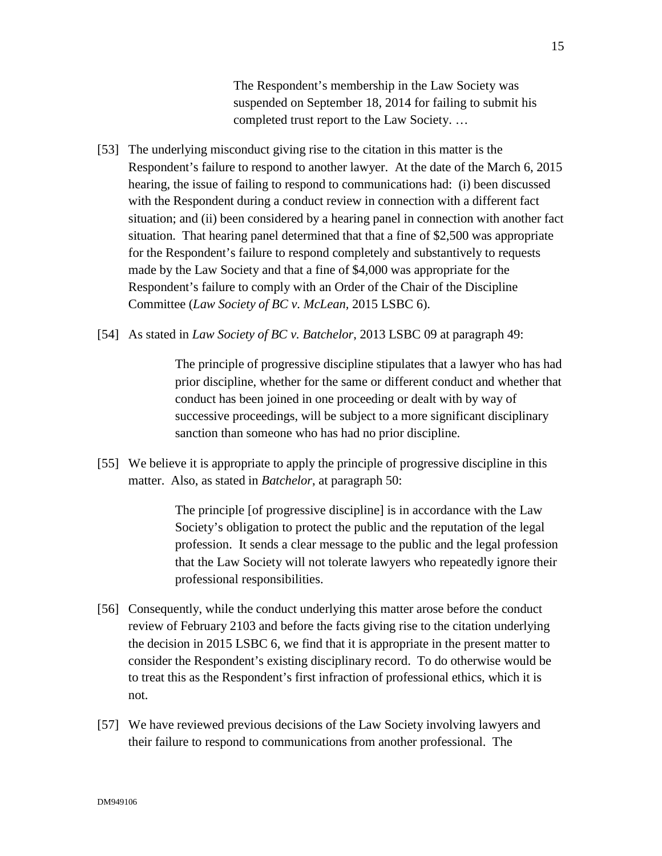The Respondent's membership in the Law Society was suspended on September 18, 2014 for failing to submit his completed trust report to the Law Society. …

- [53] The underlying misconduct giving rise to the citation in this matter is the Respondent's failure to respond to another lawyer. At the date of the March 6, 2015 hearing, the issue of failing to respond to communications had: (i) been discussed with the Respondent during a conduct review in connection with a different fact situation; and (ii) been considered by a hearing panel in connection with another fact situation. That hearing panel determined that that a fine of \$2,500 was appropriate for the Respondent's failure to respond completely and substantively to requests made by the Law Society and that a fine of \$4,000 was appropriate for the Respondent's failure to comply with an Order of the Chair of the Discipline Committee (*Law Society of BC v. McLean,* 2015 LSBC 6).
- [54] As stated in *Law Society of BC v. Batchelor*, 2013 LSBC 09 at paragraph 49:

The principle of progressive discipline stipulates that a lawyer who has had prior discipline, whether for the same or different conduct and whether that conduct has been joined in one proceeding or dealt with by way of successive proceedings, will be subject to a more significant disciplinary sanction than someone who has had no prior discipline.

[55] We believe it is appropriate to apply the principle of progressive discipline in this matter. Also, as stated in *Batchelor*, at paragraph 50:

> The principle [of progressive discipline] is in accordance with the Law Society's obligation to protect the public and the reputation of the legal profession. It sends a clear message to the public and the legal profession that the Law Society will not tolerate lawyers who repeatedly ignore their professional responsibilities.

- [56] Consequently, while the conduct underlying this matter arose before the conduct review of February 2103 and before the facts giving rise to the citation underlying the decision in 2015 LSBC 6, we find that it is appropriate in the present matter to consider the Respondent's existing disciplinary record. To do otherwise would be to treat this as the Respondent's first infraction of professional ethics, which it is not.
- [57] We have reviewed previous decisions of the Law Society involving lawyers and their failure to respond to communications from another professional. The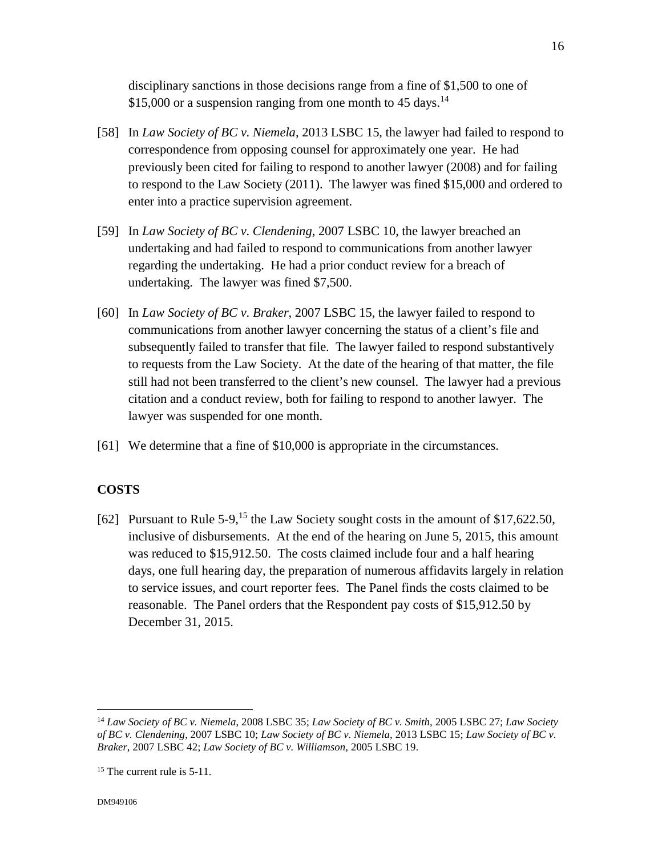disciplinary sanctions in those decisions range from a fine of \$1,500 to one of \$15,000 or a suspension ranging from one month to 45 days.<sup>14</sup>

- [58] In *Law Society of BC v. Niemela*, 2013 LSBC 15, the lawyer had failed to respond to correspondence from opposing counsel for approximately one year. He had previously been cited for failing to respond to another lawyer (2008) and for failing to respond to the Law Society (2011). The lawyer was fined \$15,000 and ordered to enter into a practice supervision agreement.
- [59] In *Law Society of BC v. Clendening*, 2007 LSBC 10, the lawyer breached an undertaking and had failed to respond to communications from another lawyer regarding the undertaking. He had a prior conduct review for a breach of undertaking. The lawyer was fined \$7,500.
- [60] In *Law Society of BC v. Braker*, 2007 LSBC 15, the lawyer failed to respond to communications from another lawyer concerning the status of a client's file and subsequently failed to transfer that file. The lawyer failed to respond substantively to requests from the Law Society. At the date of the hearing of that matter, the file still had not been transferred to the client's new counsel. The lawyer had a previous citation and a conduct review, both for failing to respond to another lawyer. The lawyer was suspended for one month.
- [61] We determine that a fine of \$10,000 is appropriate in the circumstances.

#### **COSTS**

[62] Pursuant to Rule 5-9,<sup>15</sup> the Law Society sought costs in the amount of \$17,622.50, inclusive of disbursements. At the end of the hearing on June 5, 2015, this amount was reduced to \$15,912.50. The costs claimed include four and a half hearing days, one full hearing day, the preparation of numerous affidavits largely in relation to service issues, and court reporter fees. The Panel finds the costs claimed to be reasonable. The Panel orders that the Respondent pay costs of \$15,912.50 by December 31, 2015.

<sup>14</sup> *Law Society of BC v. Niemela*, 2008 LSBC 35; *Law Society of BC v. Smith*, 2005 LSBC 27; *Law Society of BC v. Clendening*, 2007 LSBC 10; *Law Society of BC v. Niemela*, 2013 LSBC 15; *Law Society of BC v. Braker*, 2007 LSBC 42; *Law Society of BC v. Williamson,* 2005 LSBC 19.

<sup>&</sup>lt;sup>15</sup> The current rule is 5-11.